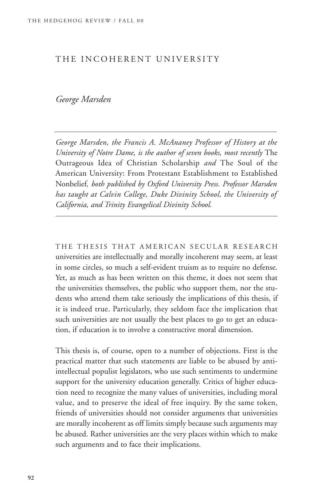### THE INCOHERENT UNIVERSITY

# *George Marsden*

*George Marsden, the Francis A. McAnaney Professor of History at the University of Notre Dame, is the author of seven books, most recently* The Outrageous Idea of Christian Scholarship *and* The Soul of the American University: From Protestant Establishment to Established Nonbelief*, both published by Oxford University Press. Professor Marsden has taught at Calvin College, Duke Divinity School, the University of California, and Trinity Evangelical Divinity School.*

THE THESIS THAT AMERICAN SECULAR RESEARCH universities are intellectually and morally incoherent may seem, at least in some circles, so much a self-evident truism as to require no defense. Yet, as much as has been written on this theme, it does not seem that the universities themselves, the public who support them, nor the students who attend them take seriously the implications of this thesis, if it is indeed true. Particularly, they seldom face the implication that such universities are not usually the best places to go to get an education, if education is to involve a constructive moral dimension.

This thesis is, of course, open to a number of objections. First is the practical matter that such statements are liable to be abused by antiintellectual populist legislators, who use such sentiments to undermine support for the university education generally. Critics of higher education need to recognize the many values of universities, including moral value, and to preserve the ideal of free inquiry. By the same token, friends of universities should not consider arguments that universities are morally incoherent as off limits simply because such arguments may be abused. Rather universities are the very places within which to make such arguments and to face their implications.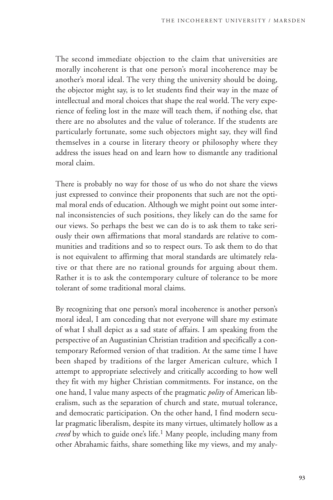The second immediate objection to the claim that universities are morally incoherent is that one person's moral incoherence may be another's moral ideal. The very thing the university should be doing, the objector might say, is to let students find their way in the maze of intellectual and moral choices that shape the real world. The very experience of feeling lost in the maze will teach them, if nothing else, that there are no absolutes and the value of tolerance. If the students are particularly fortunate, some such objectors might say, they will find themselves in a course in literary theory or philosophy where they address the issues head on and learn how to dismantle any traditional moral claim.

There is probably no way for those of us who do not share the views just expressed to convince their proponents that such are not the optimal moral ends of education. Although we might point out some internal inconsistencies of such positions, they likely can do the same for our views. So perhaps the best we can do is to ask them to take seriously their own affirmations that moral standards are relative to communities and traditions and so to respect ours. To ask them to do that is not equivalent to affirming that moral standards are ultimately relative or that there are no rational grounds for arguing about them. Rather it is to ask the contemporary culture of tolerance to be more tolerant of some traditional moral claims.

By recognizing that one person's moral incoherence is another person's moral ideal, I am conceding that not everyone will share my estimate of what I shall depict as a sad state of affairs. I am speaking from the perspective of an Augustinian Christian tradition and specifically a contemporary Reformed version of that tradition. At the same time I have been shaped by traditions of the larger American culture, which I attempt to appropriate selectively and critically according to how well they fit with my higher Christian commitments. For instance, on the one hand, I value many aspects of the pragmatic *polity* of American liberalism, such as the separation of church and state, mutual tolerance, and democratic participation. On the other hand, I find modern secular pragmatic liberalism, despite its many virtues, ultimately hollow as a *creed* by which to guide one's life.<sup>1</sup> Many people, including many from other Abrahamic faiths, share something like my views, and my analy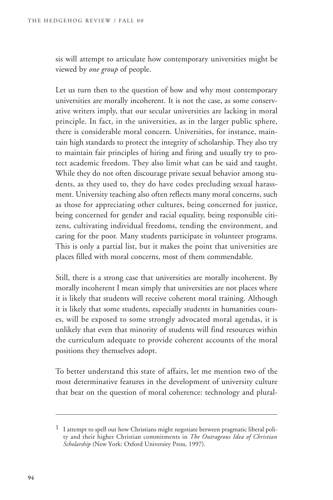sis will attempt to articulate how contemporary universities might be viewed by *one group* of people.

Let us turn then to the question of how and why most contemporary universities are morally incoherent. It is not the case, as some conservative writers imply, that our secular universities are lacking in moral principle. In fact, in the universities, as in the larger public sphere, there is considerable moral concern. Universities, for instance, maintain high standards to protect the integrity of scholarship. They also try to maintain fair principles of hiring and firing and usually try to protect academic freedom. They also limit what can be said and taught. While they do not often discourage private sexual behavior among students, as they used to, they do have codes precluding sexual harassment. University teaching also often reflects many moral concerns, such as those for appreciating other cultures, being concerned for justice, being concerned for gender and racial equality, being responsible citizens, cultivating individual freedoms, tending the environment, and caring for the poor. Many students participate in volunteer programs. This is only a partial list, but it makes the point that universities are places filled with moral concerns, most of them commendable.

Still, there is a strong case that universities are morally incoherent. By morally incoherent I mean simply that universities are not places where it is likely that students will receive coherent moral training. Although it is likely that some students, especially students in humanities courses, will be exposed to some strongly advocated moral agendas, it is unlikely that even that minority of students will find resources within the curriculum adequate to provide coherent accounts of the moral positions they themselves adopt.

To better understand this state of affairs, let me mention two of the most determinative features in the development of university culture that bear on the question of moral coherence: technology and plural-

<sup>1</sup> I attempt to spell out how Christians might negotiate between pragmatic liberal polity and their higher Christian commitments in *The Outrageous Idea of Christian Scholarship* (New York: Oxford University Press, 1997).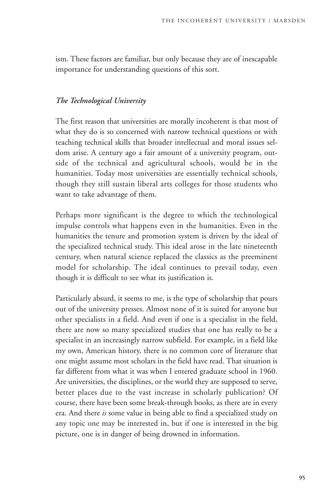ism. These factors are familiar, but only because they are of inescapable importance for understanding questions of this sort.

## *The Technological University*

The first reason that universities are morally incoherent is that most of what they do is so concerned with narrow technical questions or with teaching technical skills that broader intellectual and moral issues seldom arise. A century ago a fair amount of a university program, outside of the technical and agricultural schools, would be in the humanities. Today most universities are essentially technical schools, though they still sustain liberal arts colleges for those students who want to take advantage of them.

Perhaps more significant is the degree to which the technological impulse controls what happens even in the humanities. Even in the humanities the tenure and promotion system is driven by the ideal of the specialized technical study. This ideal arose in the late nineteenth century, when natural science replaced the classics as the preeminent model for scholarship. The ideal continues to prevail today, even though it is difficult to see what its justification is.

Particularly absurd, it seems to me, is the type of scholarship that pours out of the university presses. Almost none of it is suited for anyone but other specialists in a field. And even if one is a specialist in the field, there are now so many specialized studies that one has really to be a specialist in an increasingly narrow subfield. For example, in a field like my own, American history, there is no common core of literature that one might assume most scholars in the field have read. That situation is far different from what it was when I entered graduate school in 1960. Are universities, the disciplines, or the world they are supposed to serve, better places due to the vast increase in scholarly publication? Of course, there have been some break-through books, as there are in every era. And there *is* some value in being able to find a specialized study on any topic one may be interested in, but if one is interested in the big picture, one is in danger of being drowned in information.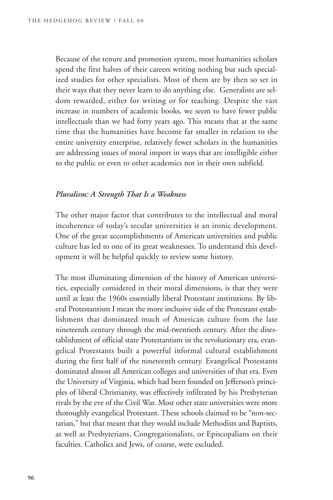Because of the tenure and promotion system, most humanities scholars spend the first halves of their careers writing nothing but such specialized studies for other specialists. Most of them are by then so set in their ways that they never learn to do anything else. Generalists are seldom rewarded, either for writing or for teaching. Despite the vast increase in numbers of academic books, we seem to have fewer public intellectuals than we had forty years ago. This means that at the same time that the humanities have become far smaller in relation to the entire university enterprise, relatively fewer scholars in the humanities are addressing issues of moral import in ways that are intelligible either to the public or even to other academics not in their own subfield.

#### *Pluralism: A Strength That Is a Weakness*

The other major factor that contributes to the intellectual and moral incoherence of today's secular universities is an ironic development. One of the great accomplishments of American universities and public culture has led to one of its great weaknesses. To understand this development it will be helpful quickly to review some history.

The most illuminating dimension of the history of American universities, especially considered in their moral dimensions, is that they were until at least the 1960s essentially liberal Protestant institutions. By liberal Protestantism I mean the more inclusive side of the Protestant establishment that dominated much of American culture from the late nineteenth century through the mid-twentieth century. After the disestablishment of official state Protestantism in the revolutionary era, evangelical Protestants built a powerful informal cultural establishment during the first half of the nineteenth century. Evangelical Protestants dominated almost all American colleges and universities of that era. Even the University of Virginia, which had been founded on Jefferson's principles of liberal Christianity, was effectively infiltrated by his Presbyterian rivals by the eve of the Civil War. Most other state universities were more thoroughly evangelical Protestant. These schools claimed to be "non-sectarian," but that meant that they would include Methodists and Baptists, as well as Presbyterians, Congregationalists, or Episcopalians on their faculties. Catholics and Jews, of course, were excluded.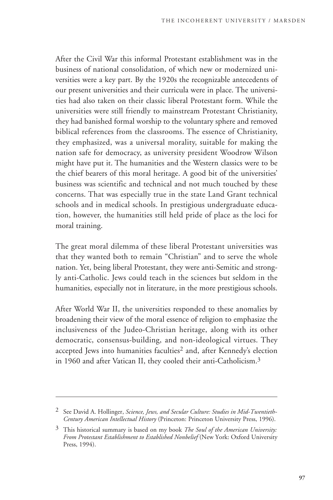After the Civil War this informal Protestant establishment was in the business of national consolidation, of which new or modernized universities were a key part. By the 1920s the recognizable antecedents of our present universities and their curricula were in place. The universities had also taken on their classic liberal Protestant form. While the universities were still friendly to mainstream Protestant Christianity, they had banished formal worship to the voluntary sphere and removed biblical references from the classrooms. The essence of Christianity, they emphasized, was a universal morality, suitable for making the nation safe for democracy, as university president Woodrow Wilson might have put it. The humanities and the Western classics were to be the chief bearers of this moral heritage. A good bit of the universities' business was scientific and technical and not much touched by these concerns. That was especially true in the state Land Grant technical schools and in medical schools. In prestigious undergraduate education, however, the humanities still held pride of place as the loci for moral training.

The great moral dilemma of these liberal Protestant universities was that they wanted both to remain "Christian" and to serve the whole nation. Yet, being liberal Protestant, they were anti-Semitic and strongly anti-Catholic. Jews could teach in the sciences but seldom in the humanities, especially not in literature, in the more prestigious schools.

After World War II, the universities responded to these anomalies by broadening their view of the moral essence of religion to emphasize the inclusiveness of the Judeo-Christian heritage, along with its other democratic, consensus-building, and non-ideological virtues. They accepted Jews into humanities faculties<sup>2</sup> and, after Kennedy's election in 1960 and after Vatican II, they cooled their anti-Catholicism.3

<sup>2</sup> See David A. Hollinger, *Science, Jews, and Secular Culture: Studies in Mid-Twentieth-Century American Intellectual History* (Princeton: Princeton University Press, 1996).

<sup>3</sup> This historical summary is based on my book *The Soul of the American University: From Protestant Establishment to Established Nonbelief* (New York: Oxford University Press, 1994).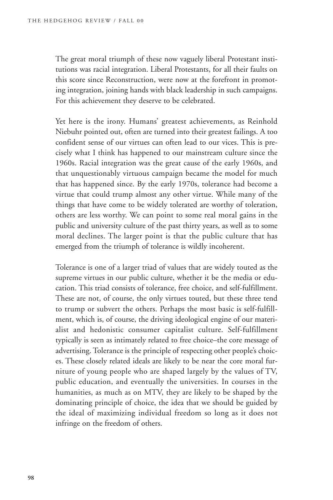The great moral triumph of these now vaguely liberal Protestant institutions was racial integration. Liberal Protestants, for all their faults on this score since Reconstruction, were now at the forefront in promoting integration, joining hands with black leadership in such campaigns. For this achievement they deserve to be celebrated.

Yet here is the irony. Humans' greatest achievements, as Reinhold Niebuhr pointed out, often are turned into their greatest failings. A too confident sense of our virtues can often lead to our vices. This is precisely what I think has happened to our mainstream culture since the 1960s. Racial integration was the great cause of the early 1960s, and that unquestionably virtuous campaign became the model for much that has happened since. By the early 1970s, tolerance had become a virtue that could trump almost any other virtue. While many of the things that have come to be widely tolerated are worthy of toleration, others are less worthy. We can point to some real moral gains in the public and university culture of the past thirty years, as well as to some moral declines. The larger point is that the public culture that has emerged from the triumph of tolerance is wildly incoherent.

Tolerance is one of a larger triad of values that are widely touted as the supreme virtues in our public culture, whether it be the media or education. This triad consists of tolerance, free choice, and self-fulfillment. These are not, of course, the only virtues touted, but these three tend to trump or subvert the others. Perhaps the most basic is self-fulfillment, which is, of course, the driving ideological engine of our materialist and hedonistic consumer capitalist culture. Self-fulfillment typically is seen as intimately related to free choice–the core message of advertising. Tolerance is the principle of respecting other people's choices. These closely related ideals are likely to be near the core moral furniture of young people who are shaped largely by the values of TV, public education, and eventually the universities. In courses in the humanities, as much as on MTV, they are likely to be shaped by the dominating principle of choice, the idea that we should be guided by the ideal of maximizing individual freedom so long as it does not infringe on the freedom of others.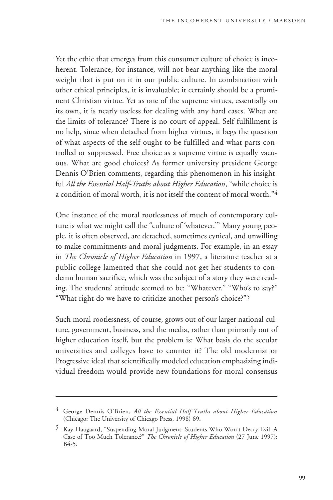Yet the ethic that emerges from this consumer culture of choice is incoherent. Tolerance, for instance, will not bear anything like the moral weight that is put on it in our public culture. In combination with other ethical principles, it is invaluable; it certainly should be a prominent Christian virtue. Yet as one of the supreme virtues, essentially on its own, it is nearly useless for dealing with any hard cases. What are the limits of tolerance? There is no court of appeal. Self-fulfillment is no help, since when detached from higher virtues, it begs the question of what aspects of the self ought to be fulfilled and what parts controlled or suppressed. Free choice as a supreme virtue is equally vacuous. What are good choices? As former university president George Dennis O'Brien comments, regarding this phenomenon in his insightful *All the Essential Half-Truths about Higher Education*, "while choice is a condition of moral worth, it is not itself the content of moral worth."4

One instance of the moral rootlessness of much of contemporary culture is what we might call the "culture of 'whatever.'" Many young people, it is often observed, are detached, sometimes cynical, and unwilling to make commitments and moral judgments. For example, in an essay in *The Chronicle of Higher Education* in 1997, a literature teacher at a public college lamented that she could not get her students to condemn human sacrifice, which was the subject of a story they were reading. The students' attitude seemed to be: "Whatever." "Who's to say?" "What right do we have to criticize another person's choice?"5

Such moral rootlessness, of course, grows out of our larger national culture, government, business, and the media, rather than primarily out of higher education itself, but the problem is: What basis do the secular universities and colleges have to counter it? The old modernist or Progressive ideal that scientifically modeled education emphasizing individual freedom would provide new foundations for moral consensus

<sup>4</sup> George Dennis O'Brien, *All the Essential Half-Truths about Higher Education* (Chicago: The University of Chicago Press, 1998) 69.

<sup>5</sup> Kay Haugaard, "Suspending Moral Judgment: Students Who Won't Decry Evil–A Case of Too Much Tolerance?" *The Chronicle of Higher Education* (27 June 1997): B4-5.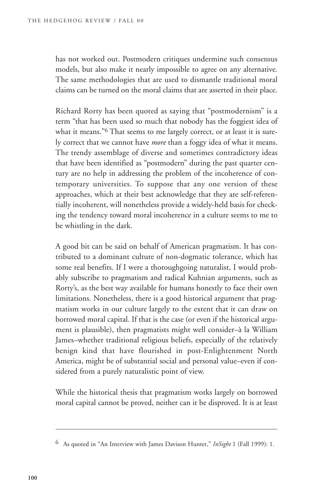has not worked out. Postmodern critiques undermine such consensus models, but also make it nearly impossible to agree on any alternative. The same methodologies that are used to dismantle traditional moral claims can be turned on the moral claims that are asserted in their place.

Richard Rorty has been quoted as saying that "postmodernism" is a term "that has been used so much that nobody has the foggiest idea of what it means."<sup>6</sup> That seems to me largely correct, or at least it is surely correct that we cannot have *more* than a foggy idea of what it means. The trendy assemblage of diverse and sometimes contradictory ideas that have been identified as "postmodern" during the past quarter century are no help in addressing the problem of the incoherence of contemporary universities. To suppose that any one version of these approaches, which at their best acknowledge that they are self-referentially incoherent, will nonetheless provide a widely-held basis for checking the tendency toward moral incoherence in a culture seems to me to be whistling in the dark.

A good bit can be said on behalf of American pragmatism. It has contributed to a dominant culture of non-dogmatic tolerance, which has some real benefits. If I were a thoroughgoing naturalist, I would probably subscribe to pragmatism and radical Kuhnian arguments, such as Rorty's, as the best way available for humans honestly to face their own limitations. Nonetheless, there is a good historical argument that pragmatism works in our culture largely to the extent that it can draw on borrowed moral capital. If that is the case (or even if the historical argument is plausible), then pragmatists might well consider–à la William James–whether traditional religious beliefs, especially of the relatively benign kind that have flourished in post-Enlightenment North America, might be of substantial social and personal value–even if considered from a purely naturalistic point of view.

While the historical thesis that pragmatism works largely on borrowed moral capital cannot be proved, neither can it be disproved. It is at least

<sup>6</sup> As quoted in "An Interview with James Davison Hunter," *InSight* 1 (Fall 1999): 1.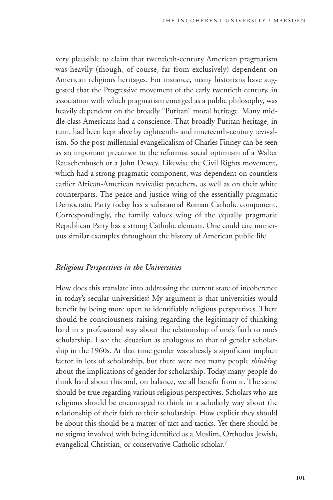very plausible to claim that twentieth-century American pragmatism was heavily (though, of course, far from exclusively) dependent on American religious heritages. For instance, many historians have suggested that the Progressive movement of the early twentieth century, in association with which pragmatism emerged as a public philosophy, was heavily dependent on the broadly "Puritan" moral heritage. Many middle-class Americans had a conscience. That broadly Puritan heritage, in turn, had been kept alive by eighteenth- and nineteenth-century revivalism. So the post-millennial evangelicalism of Charles Finney can be seen as an important precursor to the reformist social optimism of a Walter Rauschenbusch or a John Dewey. Likewise the Civil Rights movement, which had a strong pragmatic component, was dependent on countless earlier African-American revivalist preachers, as well as on their white counterparts. The peace and justice wing of the essentially pragmatic Democratic Party today has a substantial Roman Catholic component. Correspondingly, the family values wing of the equally pragmatic Republican Party has a strong Catholic element. One could cite numerous similar examples throughout the history of American public life.

#### *Religious Perspectives in the Universities*

How does this translate into addressing the current state of incoherence in today's secular universities? My argument is that universities would benefit by being more open to identifiably religious perspectives. There should be consciousness-raising regarding the legitimacy of thinking hard in a professional way about the relationship of one's faith to one's scholarship. I see the situation as analogous to that of gender scholarship in the 1960s. At that time gender was already a significant implicit factor in lots of scholarship, but there were not many people *thinking* about the implications of gender for scholarship. Today many people do think hard about this and, on balance, we all benefit from it. The same should be true regarding various religious perspectives. Scholars who are religious should be encouraged to think in a scholarly way about the relationship of their faith to their scholarship. How explicit they should be about this should be a matter of tact and tactics. Yet there should be no stigma involved with being identified as a Muslim, Orthodox Jewish, evangelical Christian, or conservative Catholic scholar.7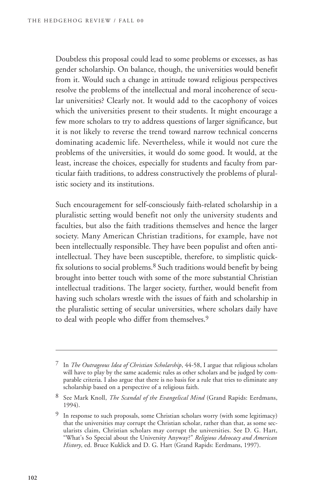Doubtless this proposal could lead to some problems or excesses, as has gender scholarship. On balance, though, the universities would benefit from it. Would such a change in attitude toward religious perspectives resolve the problems of the intellectual and moral incoherence of secular universities? Clearly not. It would add to the cacophony of voices which the universities present to their students. It might encourage a few more scholars to try to address questions of larger significance, but it is not likely to reverse the trend toward narrow technical concerns dominating academic life. Nevertheless, while it would not cure the problems of the universities, it would do some good. It would, at the least, increase the choices, especially for students and faculty from particular faith traditions, to address constructively the problems of pluralistic society and its institutions.

Such encouragement for self-consciously faith-related scholarship in a pluralistic setting would benefit not only the university students and faculties, but also the faith traditions themselves and hence the larger society. Many American Christian traditions, for example, have not been intellectually responsible. They have been populist and often antiintellectual. They have been susceptible, therefore, to simplistic quickfix solutions to social problems.<sup>8</sup> Such traditions would benefit by being brought into better touch with some of the more substantial Christian intellectual traditions. The larger society, further, would benefit from having such scholars wrestle with the issues of faith and scholarship in the pluralistic setting of secular universities, where scholars daily have to deal with people who differ from themselves.9

<sup>7</sup> In *The Outrageous Idea of Christian Scholarship*, 44-58, I argue that religious scholars will have to play by the same academic rules as other scholars and be judged by comparable criteria. I also argue that there is no basis for a rule that tries to eliminate any scholarship based on a perspective of a religious faith.

<sup>8</sup> See Mark Knoll, *The Scandal of the Evangelical Mind* (Grand Rapids: Eerdmans, 1994).

<sup>9</sup> In response to such proposals, some Christian scholars worry (with some legitimacy) that the universities may corrupt the Christian scholar, rather than that, as some secularists claim, Christian scholars may corrupt the universities. See D. G. Hart, "What's So Special about the University Anyway?" *Religious Advocacy and American History*, ed. Bruce Kuklick and D. G. Hart (Grand Rapids: Eerdmans, 1997).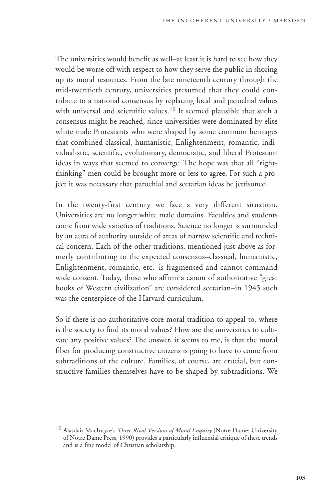The universities would benefit as well–at least it is hard to see how they would be worse off with respect to how they serve the public in shoring up its moral resources. From the late nineteenth century through the mid-twentieth century, universities presumed that they could contribute to a national consensus by replacing local and parochial values with universal and scientific values.<sup>10</sup> It seemed plausible that such a consensus might be reached, since universities were dominated by elite white male Protestants who were shaped by some common heritages that combined classical, humanistic, Enlightenment, romantic, individualistic, scientific, evolutionary, democratic, and liberal Protestant ideas in ways that seemed to converge. The hope was that all "rightthinking" men could be brought more-or-less to agree. For such a project it was necessary that parochial and sectarian ideas be jettisoned.

In the twenty-first century we face a very different situation. Universities are no longer white male domains. Faculties and students come from wide varieties of traditions. Science no longer is surrounded by an aura of authority outside of areas of narrow scientific and technical concern. Each of the other traditions, mentioned just above as formerly contributing to the expected consensus–classical, humanistic, Enlightenment, romantic, etc.–is fragmented and cannot command wide consent. Today, those who affirm a canon of authoritative "great books of Western civilization" are considered sectarian–in 1945 such was the centerpiece of the Harvard curriculum.

So if there is no authoritative core moral tradition to appeal to, where is the society to find its moral values? How are the universities to cultivate any positive values? The answer, it seems to me, is that the moral fiber for producing constructive citizens is going to have to come from subtraditions of the culture. Families, of course, are crucial, but constructive families themselves have to be shaped by subtraditions. We

<sup>10</sup> Alasdair MacIntyre's *Three Rival Versions of Moral Enquiry* (Notre Dame: University of Notre Dame Press, 1990) provides a particularly influential critique of these trends and is a fine model of Christian scholarship.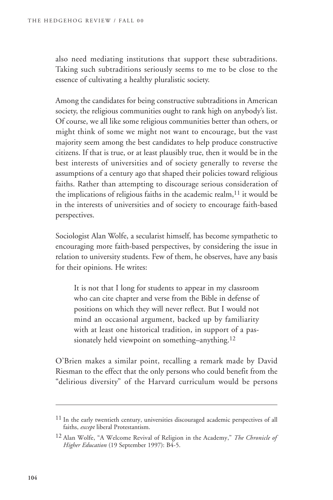also need mediating institutions that support these subtraditions. Taking such subtraditions seriously seems to me to be close to the essence of cultivating a healthy pluralistic society.

Among the candidates for being constructive subtraditions in American society, the religious communities ought to rank high on anybody's list. Of course, we all like some religious communities better than others, or might think of some we might not want to encourage, but the vast majority seem among the best candidates to help produce constructive citizens. If that is true, or at least plausibly true, then it would be in the best interests of universities and of society generally to reverse the assumptions of a century ago that shaped their policies toward religious faiths. Rather than attempting to discourage serious consideration of the implications of religious faiths in the academic realm, $11$  it would be in the interests of universities and of society to encourage faith-based perspectives.

Sociologist Alan Wolfe, a secularist himself, has become sympathetic to encouraging more faith-based perspectives, by considering the issue in relation to university students. Few of them, he observes, have any basis for their opinions. He writes:

It is not that I long for students to appear in my classroom who can cite chapter and verse from the Bible in defense of positions on which they will never reflect. But I would not mind an occasional argument, backed up by familiarity with at least one historical tradition, in support of a passionately held viewpoint on something–anything.12

O'Brien makes a similar point, recalling a remark made by David Riesman to the effect that the only persons who could benefit from the "delirious diversity" of the Harvard curriculum would be persons

<sup>&</sup>lt;sup>11</sup> In the early twentieth century, universities discouraged academic perspectives of all faiths, *except* liberal Protestantism.

<sup>12</sup> Alan Wolfe, "A Welcome Revival of Religion in the Academy," *The Chronicle of Higher Education* (19 September 1997): B4-5.